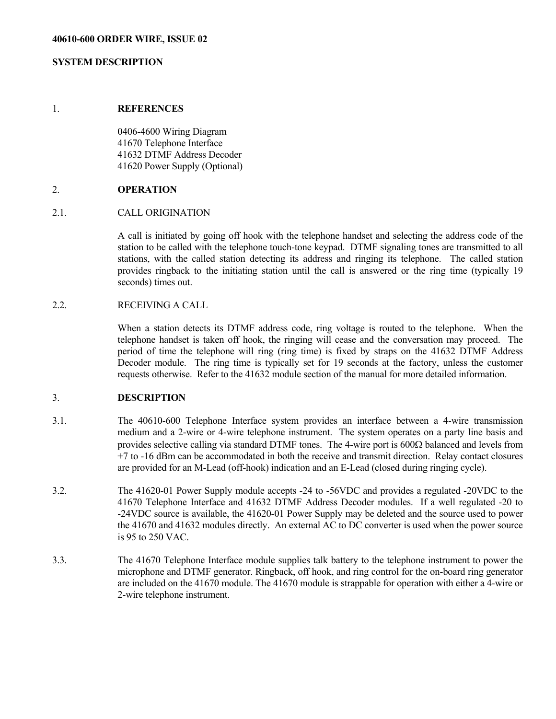#### 1. **REFERENCES**

 0406-4600 Wiring Diagram 41670 Telephone Interface 41632 DTMF Address Decoder 41620 Power Supply (Optional)

### 2. **OPERATION**

## 2.1. CALL ORIGINATION

 A call is initiated by going off hook with the telephone handset and selecting the address code of the station to be called with the telephone touch-tone keypad. DTMF signaling tones are transmitted to all stations, with the called station detecting its address and ringing its telephone. The called station provides ringback to the initiating station until the call is answered or the ring time (typically 19 seconds) times out.

# 2.2. RECEIVING A CALL

 When a station detects its DTMF address code, ring voltage is routed to the telephone. When the telephone handset is taken off hook, the ringing will cease and the conversation may proceed. The period of time the telephone will ring (ring time) is fixed by straps on the 41632 DTMF Address Decoder module. The ring time is typically set for 19 seconds at the factory, unless the customer requests otherwise. Refer to the 41632 module section of the manual for more detailed information.

## 3. **DESCRIPTION**

- 3.1. The 40610-600 Telephone Interface system provides an interface between a 4-wire transmission medium and a 2-wire or 4-wire telephone instrument. The system operates on a party line basis and provides selective calling via standard DTMF tones. The 4-wire port is  $600\Omega$  balanced and levels from +7 to -16 dBm can be accommodated in both the receive and transmit direction. Relay contact closures are provided for an M-Lead (off-hook) indication and an E-Lead (closed during ringing cycle).
- 3.2. The 41620-01 Power Supply module accepts -24 to -56VDC and provides a regulated -20VDC to the 41670 Telephone Interface and 41632 DTMF Address Decoder modules. If a well regulated -20 to -24VDC source is available, the 41620-01 Power Supply may be deleted and the source used to power the 41670 and 41632 modules directly. An external AC to DC converter is used when the power source is 95 to 250 VAC.
- 3.3. The 41670 Telephone Interface module supplies talk battery to the telephone instrument to power the microphone and DTMF generator. Ringback, off hook, and ring control for the on-board ring generator are included on the 41670 module. The 41670 module is strappable for operation with either a 4-wire or 2-wire telephone instrument.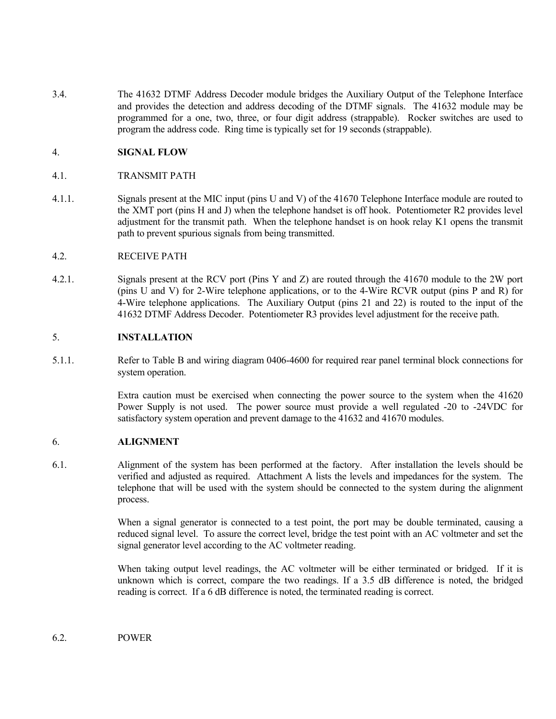3.4. The 41632 DTMF Address Decoder module bridges the Auxiliary Output of the Telephone Interface and provides the detection and address decoding of the DTMF signals. The 41632 module may be programmed for a one, two, three, or four digit address (strappable). Rocker switches are used to program the address code. Ring time is typically set for 19 seconds (strappable).

## 4. **SIGNAL FLOW**

- 4.1. TRANSMIT PATH
- 4.1.1. Signals present at the MIC input (pins U and V) of the 41670 Telephone Interface module are routed to the XMT port (pins H and J) when the telephone handset is off hook. Potentiometer R2 provides level adjustment for the transmit path. When the telephone handset is on hook relay K1 opens the transmit path to prevent spurious signals from being transmitted.

### 4.2. RECEIVE PATH

4.2.1. Signals present at the RCV port (Pins Y and Z) are routed through the 41670 module to the 2W port (pins U and V) for 2-Wire telephone applications, or to the 4-Wire RCVR output (pins P and R) for 4-Wire telephone applications. The Auxiliary Output (pins 21 and 22) is routed to the input of the 41632 DTMF Address Decoder. Potentiometer R3 provides level adjustment for the receive path.

## 5. **INSTALLATION**

5.1.1. Refer to Table B and wiring diagram 0406-4600 for required rear panel terminal block connections for system operation.

> Extra caution must be exercised when connecting the power source to the system when the 41620 Power Supply is not used. The power source must provide a well regulated -20 to -24VDC for satisfactory system operation and prevent damage to the 41632 and 41670 modules.

## 6. **ALIGNMENT**

6.1. Alignment of the system has been performed at the factory. After installation the levels should be verified and adjusted as required. Attachment A lists the levels and impedances for the system. The telephone that will be used with the system should be connected to the system during the alignment process.

> When a signal generator is connected to a test point, the port may be double terminated, causing a reduced signal level. To assure the correct level, bridge the test point with an AC voltmeter and set the signal generator level according to the AC voltmeter reading.

> When taking output level readings, the AC voltmeter will be either terminated or bridged. If it is unknown which is correct, compare the two readings. If a 3.5 dB difference is noted, the bridged reading is correct. If a 6 dB difference is noted, the terminated reading is correct.

6.2. POWER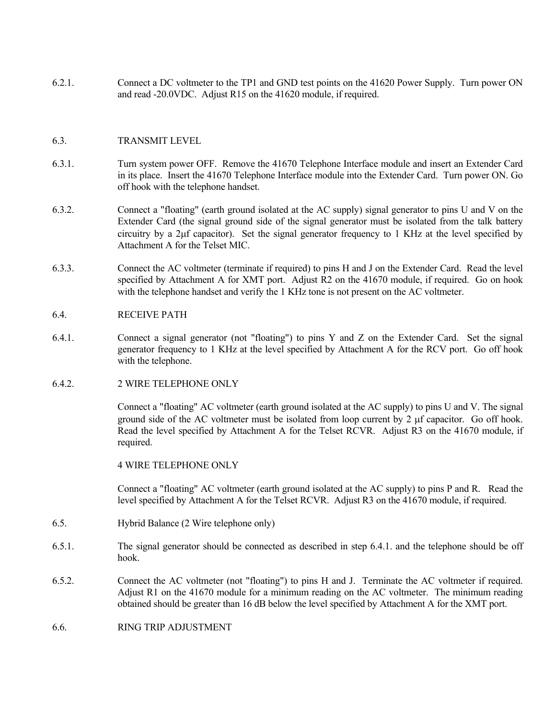6.2.1. Connect a DC voltmeter to the TP1 and GND test points on the 41620 Power Supply. Turn power ON and read -20.0VDC. Adjust R15 on the 41620 module, if required.

## 6.3. TRANSMIT LEVEL

- 6.3.1. Turn system power OFF. Remove the 41670 Telephone Interface module and insert an Extender Card in its place. Insert the 41670 Telephone Interface module into the Extender Card. Turn power ON. Go off hook with the telephone handset.
- 6.3.2. Connect a "floating" (earth ground isolated at the AC supply) signal generator to pins U and V on the Extender Card (the signal ground side of the signal generator must be isolated from the talk battery circuitry by a 2µf capacitor). Set the signal generator frequency to 1 KHz at the level specified by Attachment A for the Telset MIC.
- 6.3.3. Connect the AC voltmeter (terminate if required) to pins H and J on the Extender Card. Read the level specified by Attachment A for XMT port. Adjust R2 on the 41670 module, if required. Go on hook with the telephone handset and verify the 1 KHz tone is not present on the AC voltmeter.

### 6.4. RECEIVE PATH

- 6.4.1. Connect a signal generator (not "floating") to pins Y and Z on the Extender Card. Set the signal generator frequency to 1 KHz at the level specified by Attachment A for the RCV port. Go off hook with the telephone.
- 6.4.2. 2 WIRE TELEPHONE ONLY

 Connect a "floating" AC voltmeter (earth ground isolated at the AC supply) to pins U and V. The signal ground side of the AC voltmeter must be isolated from loop current by 2  $\mu$ f capacitor. Go off hook. Read the level specified by Attachment A for the Telset RCVR. Adjust R3 on the 41670 module, if required.

4 WIRE TELEPHONE ONLY

 Connect a "floating" AC voltmeter (earth ground isolated at the AC supply) to pins P and R. Read the level specified by Attachment A for the Telset RCVR. Adjust R3 on the 41670 module, if required.

- 6.5. Hybrid Balance (2 Wire telephone only)
- 6.5.1. The signal generator should be connected as described in step 6.4.1. and the telephone should be off hook.
- 6.5.2. Connect the AC voltmeter (not "floating") to pins H and J. Terminate the AC voltmeter if required. Adjust R1 on the 41670 module for a minimum reading on the AC voltmeter. The minimum reading obtained should be greater than 16 dB below the level specified by Attachment A for the XMT port.
- 6.6. RING TRIP ADJUSTMENT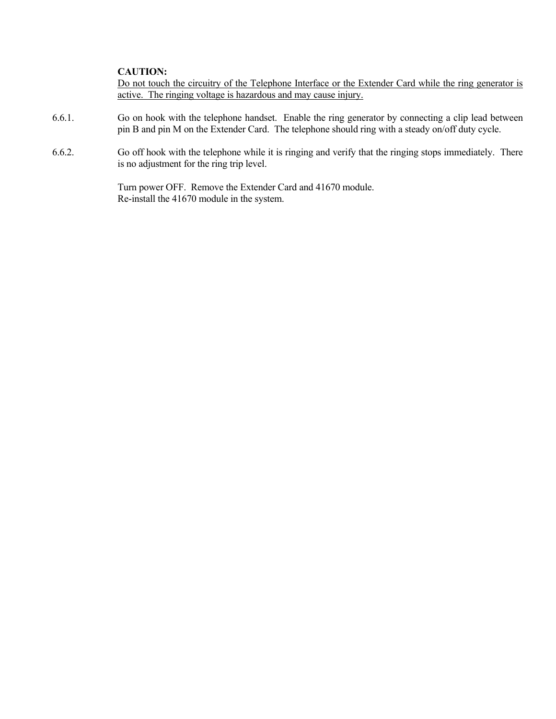## **CAUTION:**

 Do not touch the circuitry of the Telephone Interface or the Extender Card while the ring generator is active. The ringing voltage is hazardous and may cause injury.

- 6.6.1. Go on hook with the telephone handset. Enable the ring generator by connecting a clip lead between pin B and pin M on the Extender Card. The telephone should ring with a steady on/off duty cycle.
- 6.6.2. Go off hook with the telephone while it is ringing and verify that the ringing stops immediately. There is no adjustment for the ring trip level.

 Turn power OFF. Remove the Extender Card and 41670 module. Re-install the 41670 module in the system.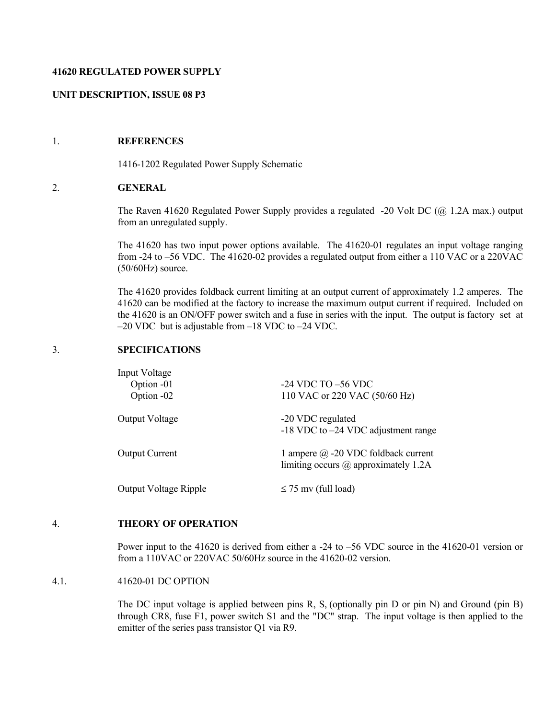### **41620 REGULATED POWER SUPPLY**

## **UNIT DESCRIPTION, ISSUE 08 P3**

# 1. **REFERENCES**

1416-1202 Regulated Power Supply Schematic

### 2. **GENERAL**

 The Raven 41620 Regulated Power Supply provides a regulated -20 Volt DC (@ 1.2A max.) output from an unregulated supply.

 The 41620 has two input power options available. The 41620-01 regulates an input voltage ranging from -24 to –56 VDC. The 41620-02 provides a regulated output from either a 110 VAC or a 220VAC (50/60Hz) source.

 The 41620 provides foldback current limiting at an output current of approximately 1.2 amperes. The 41620 can be modified at the factory to increase the maximum output current if required. Included on the 41620 is an ON/OFF power switch and a fuse in series with the input. The output is factory set at –20 VDC but is adjustable from –18 VDC to –24 VDC.

## 3. **SPECIFICATIONS**

| <b>Input Voltage</b><br>Option -01<br>Option -02 | $-24$ VDC TO $-56$ VDC<br>110 VAC or 220 VAC (50/60 Hz)                                   |
|--------------------------------------------------|-------------------------------------------------------------------------------------------|
| <b>Output Voltage</b>                            | -20 VDC regulated<br>$-18$ VDC to $-24$ VDC adjustment range                              |
| <b>Output Current</b>                            | 1 ampere $\omega$ -20 VDC foldback current<br>limiting occurs $\omega$ approximately 1.2A |
| <b>Output Voltage Ripple</b>                     | $\leq$ 75 mv (full load)                                                                  |

## 4. **THEORY OF OPERATION**

 Power input to the 41620 is derived from either a -24 to –56 VDC source in the 41620-01 version or from a 110VAC or 220VAC 50/60Hz source in the 41620-02 version.

4.1. 41620-01 DC OPTION

 The DC input voltage is applied between pins R, S, (optionally pin D or pin N) and Ground (pin B) through CR8, fuse F1, power switch S1 and the "DC" strap. The input voltage is then applied to the emitter of the series pass transistor Q1 via R9.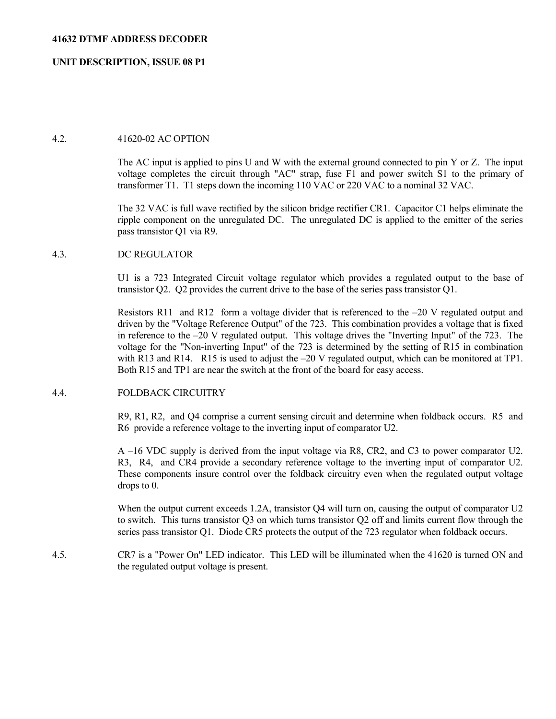## **UNIT DESCRIPTION, ISSUE 08 P1**

### 4.2. 41620-02 AC OPTION

 The AC input is applied to pins U and W with the external ground connected to pin Y or Z. The input voltage completes the circuit through "AC" strap, fuse F1 and power switch S1 to the primary of transformer T1. T1 steps down the incoming 110 VAC or 220 VAC to a nominal 32 VAC.

 The 32 VAC is full wave rectified by the silicon bridge rectifier CR1. Capacitor C1 helps eliminate the ripple component on the unregulated DC. The unregulated DC is applied to the emitter of the series pass transistor Q1 via R9.

### 4.3. DC REGULATOR

 U1 is a 723 Integrated Circuit voltage regulator which provides a regulated output to the base of transistor Q2. Q2 provides the current drive to the base of the series pass transistor Q1.

Resistors R11 and R12 form a voltage divider that is referenced to the  $-20$  V regulated output and driven by the "Voltage Reference Output" of the 723. This combination provides a voltage that is fixed in reference to the –20 V regulated output. This voltage drives the "Inverting Input" of the 723. The voltage for the "Non-inverting Input" of the 723 is determined by the setting of R15 in combination with R13 and R14. R15 is used to adjust the –20 V regulated output, which can be monitored at TP1. Both R15 and TP1 are near the switch at the front of the board for easy access.

### 4.4. FOLDBACK CIRCUITRY

 R9, R1, R2, and Q4 comprise a current sensing circuit and determine when foldback occurs. R5 and R6 provide a reference voltage to the inverting input of comparator U2.

 A –16 VDC supply is derived from the input voltage via R8, CR2, and C3 to power comparator U2. R3, R4, and CR4 provide a secondary reference voltage to the inverting input of comparator U2. These components insure control over the foldback circuitry even when the regulated output voltage drops to 0.

When the output current exceeds 1.2A, transistor Q4 will turn on, causing the output of comparator U2 to switch. This turns transistor Q3 on which turns transistor Q2 off and limits current flow through the series pass transistor Q1. Diode CR5 protects the output of the 723 regulator when foldback occurs.

4.5. CR7 is a "Power On" LED indicator. This LED will be illuminated when the 41620 is turned ON and the regulated output voltage is present.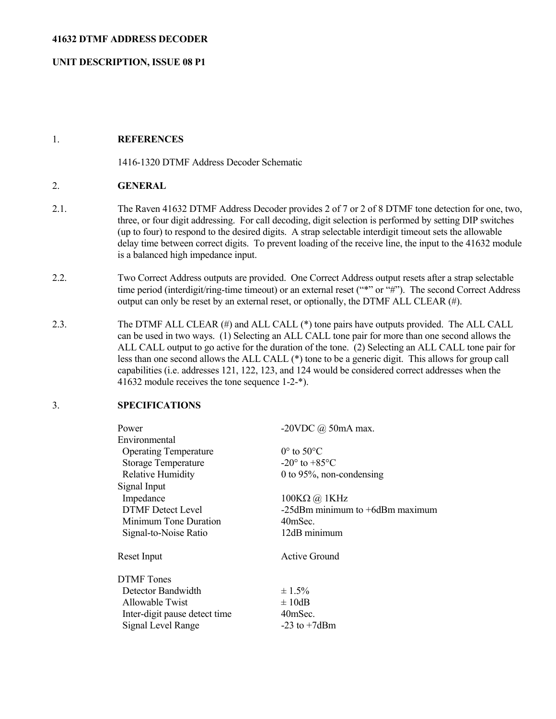### **41632 DTMF ADDRESS DECODER**

## **UNIT DESCRIPTION, ISSUE 08 P1**

### 1. **REFERENCES**

1416-1320 DTMF Address Decoder Schematic

## 2. **GENERAL**

- 2.1. The Raven 41632 DTMF Address Decoder provides 2 of 7 or 2 of 8 DTMF tone detection for one, two, three, or four digit addressing. For call decoding, digit selection is performed by setting DIP switches (up to four) to respond to the desired digits. A strap selectable interdigit timeout sets the allowable delay time between correct digits. To prevent loading of the receive line, the input to the 41632 module is a balanced high impedance input.
- 2.2. Two Correct Address outputs are provided. One Correct Address output resets after a strap selectable time period (interdigit/ring-time timeout) or an external reset ("\*" or "#"). The second Correct Address output can only be reset by an external reset, or optionally, the DTMF ALL CLEAR (#).
- 2.3. The DTMF ALL CLEAR (#) and ALL CALL (\*) tone pairs have outputs provided. The ALL CALL can be used in two ways. (1) Selecting an ALL CALL tone pair for more than one second allows the ALL CALL output to go active for the duration of the tone. (2) Selecting an ALL CALL tone pair for less than one second allows the ALL CALL (\*) tone to be a generic digit. This allows for group call capabilities (i.e. addresses 121, 122, 123, and 124 would be considered correct addresses when the 41632 module receives the tone sequence 1-2-\*).

## 3. **SPECIFICATIONS**

| -20VDC $\omega$ 50mA max.             |
|---------------------------------------|
|                                       |
| $0^{\circ}$ to 50 °C                  |
| $-20^{\circ}$ to $+85^{\circ}$ C      |
| 0 to 95%, non-condensing              |
|                                       |
| $100KΩ$ ( $a)$ 1KHz                   |
| $-25$ dBm minimum to $+6$ dBm maximum |
| 40mSec.                               |
| 12dB minimum                          |
| Active Ground                         |
|                                       |
| $\pm 1.5\%$                           |
| $\pm 10$ dB                           |
| 40mSec.                               |
| $-23$ to $+7d$ Bm                     |
|                                       |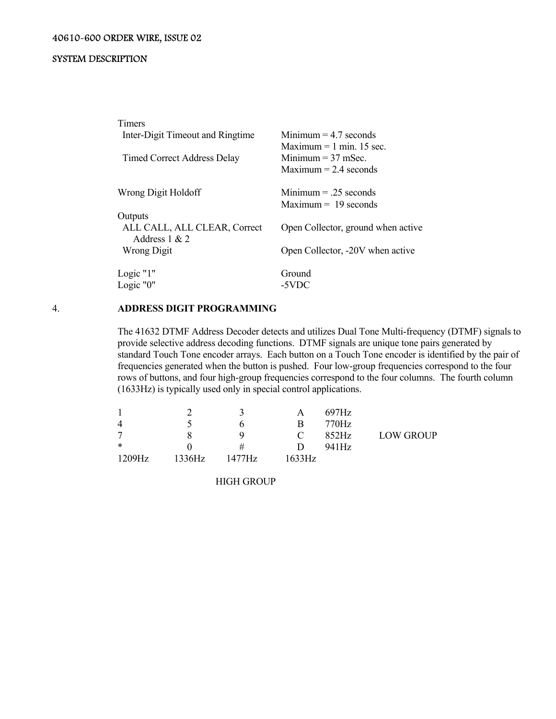| Timers<br>Inter-Digit Timeout and Ringtime<br><b>Timed Correct Address Delay</b> | Minimum $=$ 4.7 seconds<br>Maximum $= 1$ min. 15 sec.<br>Minimum $=$ 37 mSec.<br>Maximum $= 2.4$ seconds |
|----------------------------------------------------------------------------------|----------------------------------------------------------------------------------------------------------|
| Wrong Digit Holdoff                                                              | $Minimum = .25 seconds$<br>$Maximum = 19$ seconds                                                        |
| Outputs<br>ALL CALL, ALL CLEAR, Correct<br>Address $1 & 2$<br>Wrong Digit        | Open Collector, ground when active<br>Open Collector, -20V when active                                   |
| Logic "1"<br>Logic "0"                                                           | Ground<br>-5VDC                                                                                          |

### 4. **ADDRESS DIGIT PROGRAMMING**

 The 41632 DTMF Address Decoder detects and utilizes Dual Tone Multi-frequency (DTMF) signals to provide selective address decoding functions. DTMF signals are unique tone pairs generated by standard Touch Tone encoder arrays. Each button on a Touch Tone encoder is identified by the pair of frequencies generated when the button is pushed. Four low-group frequencies correspond to the four rows of buttons, and four high-group frequencies correspond to the four columns. The fourth column (1633Hz) is typically used only in special control applications.

|        |        |        | А             | 697Hz |                  |
|--------|--------|--------|---------------|-------|------------------|
| 4      |        | n      | В             | 770Hz |                  |
| 7      |        | Q      | $\mathcal{L}$ | 852Hz | <b>LOW GROUP</b> |
| $\ast$ |        | #      | נו            | 941Hz |                  |
| 1209Hz | 1336Hz | 1477Hz | 1633Hz.       |       |                  |

HIGH GROUP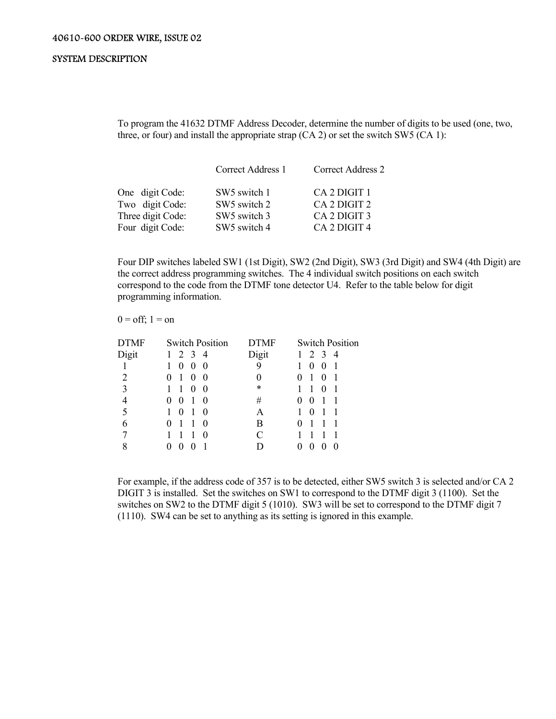To program the 41632 DTMF Address Decoder, determine the number of digits to be used (one, two, three, or four) and install the appropriate strap (CA 2) or set the switch SW5 (CA 1):

|                                                         | Correct Address 1                                                    | Correct Address 2                            |  |
|---------------------------------------------------------|----------------------------------------------------------------------|----------------------------------------------|--|
| One digit Code:<br>Two digit Code:<br>Three digit Code: | SW <sub>5</sub> switch 1<br>SW <sub>5</sub> switch 2<br>SW5 switch 3 | CA 2 DIGIT 1<br>CA 2 DIGIT 2<br>CA 2 DIGIT 3 |  |
| Four digit Code:                                        | SW5 switch 4                                                         | CA <sub>2</sub> DIGIT <sub>4</sub>           |  |

 Four DIP switches labeled SW1 (1st Digit), SW2 (2nd Digit), SW3 (3rd Digit) and SW4 (4th Digit) are the correct address programming switches. The 4 individual switch positions on each switch correspond to the code from the DTMF tone detector U4. Refer to the table below for digit programming information.

#### $0 = \text{off}$ ;  $1 = \text{on}$

| <b>DTMF</b> | <b>Switch Position</b>                | <b>DTMF</b> | <b>Switch Position</b>   |
|-------------|---------------------------------------|-------------|--------------------------|
| Digit       | $\overline{3}$<br>2<br>$\overline{4}$ | Digit       | 3<br>2<br>$\overline{4}$ |
|             | $\theta$<br>$\theta$<br>$\bf{0}$      | 9           | $\theta$<br>$\theta$     |
| 2           | $\theta$<br>O<br>O                    | O           | O                        |
| 3           | $\theta$<br>$\theta$                  | *           |                          |
| 4           | $\theta$<br>0<br>0                    | #           | $\theta$<br>$\theta$     |
| 5           |                                       | Α           |                          |
| 6           | $\theta$                              | В           |                          |
|             |                                       |             |                          |
| 8           | 0                                     |             | 0                        |
|             |                                       |             |                          |

 For example, if the address code of 357 is to be detected, either SW5 switch 3 is selected and/or CA 2 DIGIT 3 is installed. Set the switches on SW1 to correspond to the DTMF digit 3 (1100). Set the switches on SW2 to the DTMF digit 5 (1010). SW3 will be set to correspond to the DTMF digit 7 (1110). SW4 can be set to anything as its setting is ignored in this example.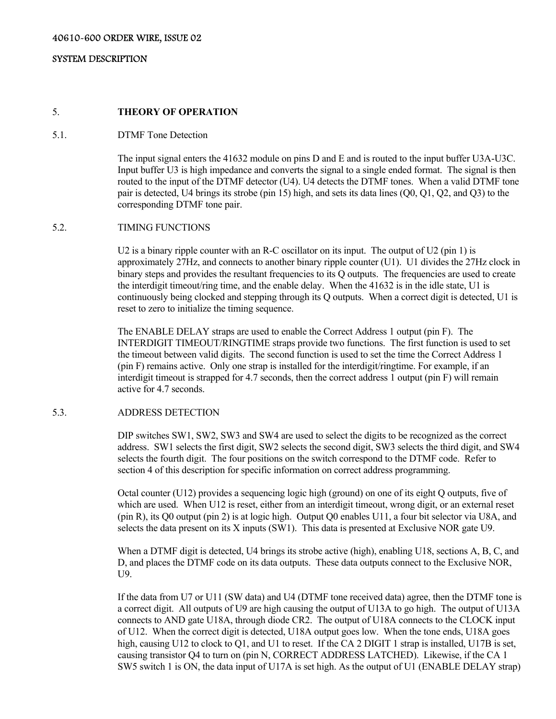## 5. **THEORY OF OPERATION**

### 5.1. DTMF Tone Detection

 The input signal enters the 41632 module on pins D and E and is routed to the input buffer U3A-U3C. Input buffer U3 is high impedance and converts the signal to a single ended format. The signal is then routed to the input of the DTMF detector (U4). U4 detects the DTMF tones. When a valid DTMF tone pair is detected, U4 brings its strobe (pin 15) high, and sets its data lines (Q0, Q1, Q2, and Q3) to the corresponding DTMF tone pair.

### 5.2. TIMING FUNCTIONS

U2 is a binary ripple counter with an R-C oscillator on its input. The output of U2 (pin 1) is approximately 27Hz, and connects to another binary ripple counter (U1). U1 divides the 27Hz clock in binary steps and provides the resultant frequencies to its Q outputs. The frequencies are used to create the interdigit timeout/ring time, and the enable delay. When the 41632 is in the idle state, U1 is continuously being clocked and stepping through its Q outputs. When a correct digit is detected, U1 is reset to zero to initialize the timing sequence.

 The ENABLE DELAY straps are used to enable the Correct Address 1 output (pin F). The INTERDIGIT TIMEOUT/RINGTIME straps provide two functions. The first function is used to set the timeout between valid digits. The second function is used to set the time the Correct Address 1 (pin F) remains active. Only one strap is installed for the interdigit/ringtime. For example, if an interdigit timeout is strapped for 4.7 seconds, then the correct address 1 output (pin F) will remain active for 4.7 seconds.

### 5.3. ADDRESS DETECTION

 DIP switches SW1, SW2, SW3 and SW4 are used to select the digits to be recognized as the correct address. SW1 selects the first digit, SW2 selects the second digit, SW3 selects the third digit, and SW4 selects the fourth digit. The four positions on the switch correspond to the DTMF code. Refer to section 4 of this description for specific information on correct address programming.

 Octal counter (U12) provides a sequencing logic high (ground) on one of its eight Q outputs, five of which are used. When U12 is reset, either from an interdigit timeout, wrong digit, or an external reset (pin R), its Q0 output (pin 2) is at logic high. Output Q0 enables U11, a four bit selector via U8A, and selects the data present on its X inputs (SW1). This data is presented at Exclusive NOR gate U9.

 When a DTMF digit is detected, U4 brings its strobe active (high), enabling U18, sections A, B, C, and D, and places the DTMF code on its data outputs. These data outputs connect to the Exclusive NOR, U9.

 If the data from U7 or U11 (SW data) and U4 (DTMF tone received data) agree, then the DTMF tone is a correct digit. All outputs of U9 are high causing the output of U13A to go high. The output of U13A connects to AND gate U18A, through diode CR2. The output of U18A connects to the CLOCK input of U12. When the correct digit is detected, U18A output goes low. When the tone ends, U18A goes high, causing U12 to clock to Q1, and U1 to reset. If the CA 2 DIGIT 1 strap is installed, U17B is set, causing transistor Q4 to turn on (pin N, CORRECT ADDRESS LATCHED). Likewise, if the CA 1 SW5 switch 1 is ON, the data input of U17A is set high. As the output of U1 (ENABLE DELAY strap)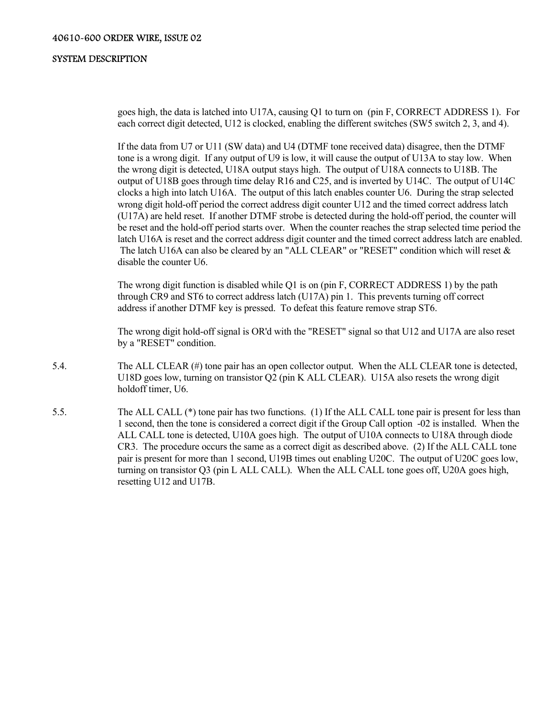goes high, the data is latched into U17A, causing Q1 to turn on (pin F, CORRECT ADDRESS 1). For each correct digit detected, U12 is clocked, enabling the different switches (SW5 switch 2, 3, and 4).

 If the data from U7 or U11 (SW data) and U4 (DTMF tone received data) disagree, then the DTMF tone is a wrong digit. If any output of U9 is low, it will cause the output of U13A to stay low. When the wrong digit is detected, U18A output stays high. The output of U18A connects to U18B. The output of U18B goes through time delay R16 and C25, and is inverted by U14C. The output of U14C clocks a high into latch U16A. The output of this latch enables counter U6. During the strap selected wrong digit hold-off period the correct address digit counter U12 and the timed correct address latch (U17A) are held reset. If another DTMF strobe is detected during the hold-off period, the counter will be reset and the hold-off period starts over. When the counter reaches the strap selected time period the latch U16A is reset and the correct address digit counter and the timed correct address latch are enabled. The latch U16A can also be cleared by an "ALL CLEAR" or "RESET" condition which will reset & disable the counter U6.

 The wrong digit function is disabled while Q1 is on (pin F, CORRECT ADDRESS 1) by the path through CR9 and ST6 to correct address latch (U17A) pin 1. This prevents turning off correct address if another DTMF key is pressed. To defeat this feature remove strap ST6.

 The wrong digit hold-off signal is OR'd with the "RESET" signal so that U12 and U17A are also reset by a "RESET" condition.

- 5.4. The ALL CLEAR (#) tone pair has an open collector output. When the ALL CLEAR tone is detected, U18D goes low, turning on transistor Q2 (pin K ALL CLEAR). U15A also resets the wrong digit holdoff timer, U6.
- 5.5. The ALL CALL (\*) tone pair has two functions. (1) If the ALL CALL tone pair is present for less than 1 second, then the tone is considered a correct digit if the Group Call option -02 is installed. When the ALL CALL tone is detected, U10A goes high. The output of U10A connects to U18A through diode CR3. The procedure occurs the same as a correct digit as described above. (2) If the ALL CALL tone pair is present for more than 1 second, U19B times out enabling U20C. The output of U20C goes low, turning on transistor Q3 (pin L ALL CALL). When the ALL CALL tone goes off, U20A goes high, resetting U12 and U17B.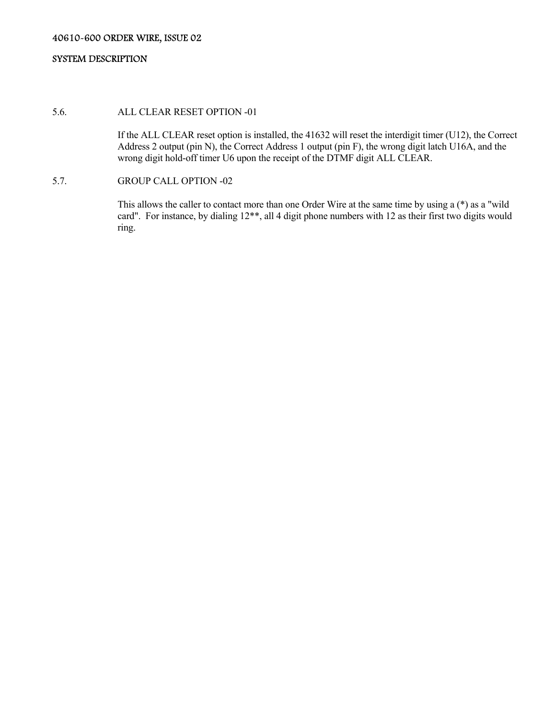# 5.6. ALL CLEAR RESET OPTION -01

 If the ALL CLEAR reset option is installed, the 41632 will reset the interdigit timer (U12), the Correct Address 2 output (pin N), the Correct Address 1 output (pin F), the wrong digit latch U16A, and the wrong digit hold-off timer U6 upon the receipt of the DTMF digit ALL CLEAR.

### 5.7. GROUP CALL OPTION -02

 This allows the caller to contact more than one Order Wire at the same time by using a (\*) as a "wild card". For instance, by dialing 12\*\*, all 4 digit phone numbers with 12 as their first two digits would ring.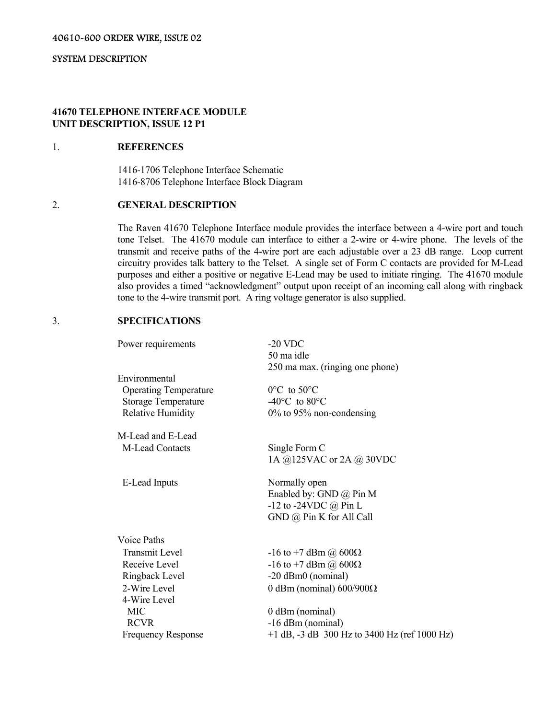### **41670 TELEPHONE INTERFACE MODULE UNIT DESCRIPTION, ISSUE 12 P1**

### 1. **REFERENCES**

 1416-1706 Telephone Interface Schematic 1416-8706 Telephone Interface Block Diagram

# 2. **GENERAL DESCRIPTION**

 The Raven 41670 Telephone Interface module provides the interface between a 4-wire port and touch tone Telset. The 41670 module can interface to either a 2-wire or 4-wire phone. The levels of the transmit and receive paths of the 4-wire port are each adjustable over a 23 dB range. Loop current circuitry provides talk battery to the Telset. A single set of Form C contacts are provided for M-Lead purposes and either a positive or negative E-Lead may be used to initiate ringing. The 41670 module also provides a timed "acknowledgment" output upon receipt of an incoming call along with ringback tone to the 4-wire transmit port. A ring voltage generator is also supplied.

# 3. **SPECIFICATIONS**

| Power requirements           | $-20$ VDC                                        |
|------------------------------|--------------------------------------------------|
|                              | 50 ma idle                                       |
|                              | 250 ma max. (ringing one phone)                  |
| Environmental                |                                                  |
| <b>Operating Temperature</b> | $0^{\circ}$ C to 50 $^{\circ}$ C                 |
| <b>Storage Temperature</b>   | -40 $\rm ^{o}C$ to 80 $\rm ^{o}C$                |
| <b>Relative Humidity</b>     | $0\%$ to 95% non-condensing                      |
| M-Lead and E-Lead            |                                                  |
| M-Lead Contacts              | Single Form C                                    |
|                              | 1A @125VAC or 2A @ 30VDC                         |
| E-Lead Inputs                | Normally open                                    |
|                              | Enabled by: GND @ Pin M                          |
|                              | -12 to -24VDC $@$ Pin L                          |
|                              | GND @ Pin K for All Call                         |
| Voice Paths                  |                                                  |
| <b>Transmit Level</b>        | $-16$ to +7 dBm @ 600 $\Omega$                   |
| Receive Level                | -16 to +7 dBm ( <i>a</i> ) 600Ω                  |
| Ringback Level               | -20 dBm0 (nominal)                               |
| 2-Wire Level                 | 0 dBm (nominal) $600/900\Omega$                  |
| 4-Wire Level                 |                                                  |
| <b>MIC</b>                   | 0 dBm (nominal)                                  |
| <b>RCVR</b>                  | -16 dBm (nominal)                                |
| <b>Frequency Response</b>    | $+1$ dB, $-3$ dB 300 Hz to 3400 Hz (ref 1000 Hz) |
|                              |                                                  |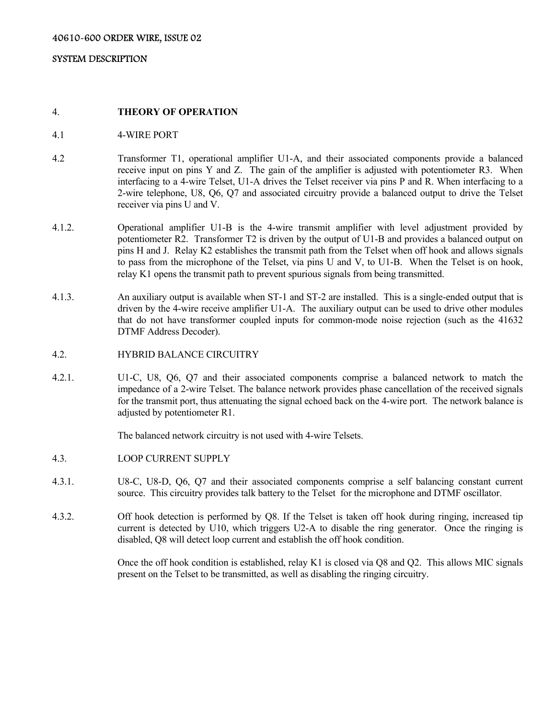#### 4. **THEORY OF OPERATION**

- 4.1 4-WIRE PORT
- 4.2 Transformer T1, operational amplifier U1-A, and their associated components provide a balanced receive input on pins Y and Z. The gain of the amplifier is adjusted with potentiometer R3. When interfacing to a 4-wire Telset, U1-A drives the Telset receiver via pins P and R. When interfacing to a 2-wire telephone, U8, Q6, Q7 and associated circuitry provide a balanced output to drive the Telset receiver via pins U and V.
- 4.1.2. Operational amplifier U1-B is the 4-wire transmit amplifier with level adjustment provided by potentiometer R2. Transformer T2 is driven by the output of U1-B and provides a balanced output on pins H and J. Relay K2 establishes the transmit path from the Telset when off hook and allows signals to pass from the microphone of the Telset, via pins U and V, to U1-B. When the Telset is on hook, relay K1 opens the transmit path to prevent spurious signals from being transmitted.
- 4.1.3. An auxiliary output is available when ST-1 and ST-2 are installed. This is a single-ended output that is driven by the 4-wire receive amplifier U1-A. The auxiliary output can be used to drive other modules that do not have transformer coupled inputs for common-mode noise rejection (such as the 41632 DTMF Address Decoder).
- 4.2. HYBRID BALANCE CIRCUITRY
- 4.2.1. U1-C, U8, Q6, Q7 and their associated components comprise a balanced network to match the impedance of a 2-wire Telset. The balance network provides phase cancellation of the received signals for the transmit port, thus attenuating the signal echoed back on the 4-wire port. The network balance is adjusted by potentiometer R1.

The balanced network circuitry is not used with 4-wire Telsets.

- 4.3. LOOP CURRENT SUPPLY
- 4.3.1. U8-C, U8-D, Q6, Q7 and their associated components comprise a self balancing constant current source. This circuitry provides talk battery to the Telset for the microphone and DTMF oscillator.
- 4.3.2. Off hook detection is performed by Q8. If the Telset is taken off hook during ringing, increased tip current is detected by U10, which triggers U2-A to disable the ring generator. Once the ringing is disabled, Q8 will detect loop current and establish the off hook condition.

 Once the off hook condition is established, relay K1 is closed via Q8 and Q2. This allows MIC signals present on the Telset to be transmitted, as well as disabling the ringing circuitry.